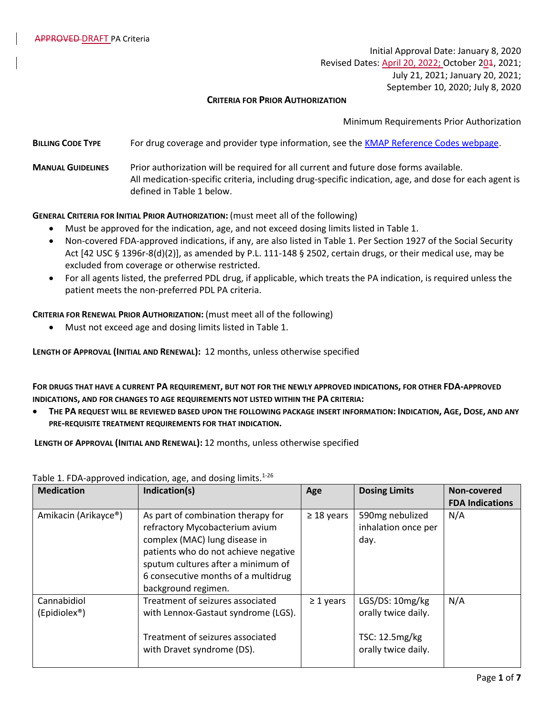Initial Approval Date: January 8, 2020 Revised Dates: April 20, 2022; October 204, 2021; July 21, 2021; January 20, 2021; September 10, 2020; July 8, 2020

## **CRITERIA FOR PRIOR AUTHORIZATION**

Minimum Requirements Prior Authorization

- **BILLING CODE TYPE** For drug coverage and provider type information, see the [KMAP Reference Codes webpage.](https://www.kmap-state-ks.us/Provider/PRICING/RefCode.asp)
- **MANUAL GUIDELINES** Prior authorization will be required for all current and future dose forms available. All medication-specific criteria, including drug-specific indication, age, and dose for each agent is defined in Table 1 below.

## **GENERAL CRITERIA FOR INITIAL PRIOR AUTHORIZATION:** (must meet all of the following)

- Must be approved for the indication, age, and not exceed dosing limits listed in Table 1.
- Non-covered FDA-approved indications, if any, are also listed in Table 1. Per Section 1927 of the Social Security Act [42 USC § 1396r-8(d)(2)], as amended by P.L. 111-148 § 2502, certain drugs, or their medical use, may be excluded from coverage or otherwise restricted.
- For all agents listed, the preferred PDL drug, if applicable, which treats the PA indication, is required unless the patient meets the non-preferred PDL PA criteria.

**CRITERIA FOR RENEWAL PRIOR AUTHORIZATION:** (must meet all of the following)

• Must not exceed age and dosing limits listed in Table 1.

**LENGTH OF APPROVAL (INITIAL AND RENEWAL):** 12 months, unless otherwise specified

**FOR DRUGS THAT HAVE A CURRENT PA REQUIREMENT, BUT NOT FOR THE NEWLY APPROVED INDICATIONS, FOR OTHER FDA-APPROVED INDICATIONS, AND FOR CHANGES TO AGE REQUIREMENTS NOT LISTED WITHIN THE PA CRITERIA:**

• THE PA REQUEST WILL BE REVIEWED BASED UPON THE FOLLOWING PACKAGE INSERT INFORMATION: INDICATION, AGE, DOSE, AND ANY **PRE-REQUISITE TREATMENT REQUIREMENTS FOR THAT INDICATION.**

**LENGTH OF APPROVAL (INITIAL AND RENEWAL):** 12 months, unless otherwise specified

| <b>Medication</b>                          | Indication(s)                                                                                                                                                                                                                                     |                 | <b>Dosing Limits</b>                                                            | Non-covered            |
|--------------------------------------------|---------------------------------------------------------------------------------------------------------------------------------------------------------------------------------------------------------------------------------------------------|-----------------|---------------------------------------------------------------------------------|------------------------|
|                                            |                                                                                                                                                                                                                                                   |                 |                                                                                 | <b>FDA Indications</b> |
| Amikacin (Arikayce®)                       | As part of combination therapy for<br>refractory Mycobacterium avium<br>complex (MAC) lung disease in<br>patients who do not achieve negative<br>sputum cultures after a minimum of<br>6 consecutive months of a multidrug<br>background regimen. | $\geq$ 18 years | 590mg nebulized<br>inhalation once per<br>day.                                  | N/A                    |
| Cannabidiol<br>$(Epidiolex^{\circledast})$ | Treatment of seizures associated<br>with Lennox-Gastaut syndrome (LGS).<br>Treatment of seizures associated<br>with Dravet syndrome (DS).                                                                                                         | $\geq$ 1 years  | LGS/DS: 10mg/kg<br>orally twice daily.<br>TSC: 12.5mg/kg<br>orally twice daily. | N/A                    |

Table 1. FDA-approved indication, age, and dosing limits. $1-26$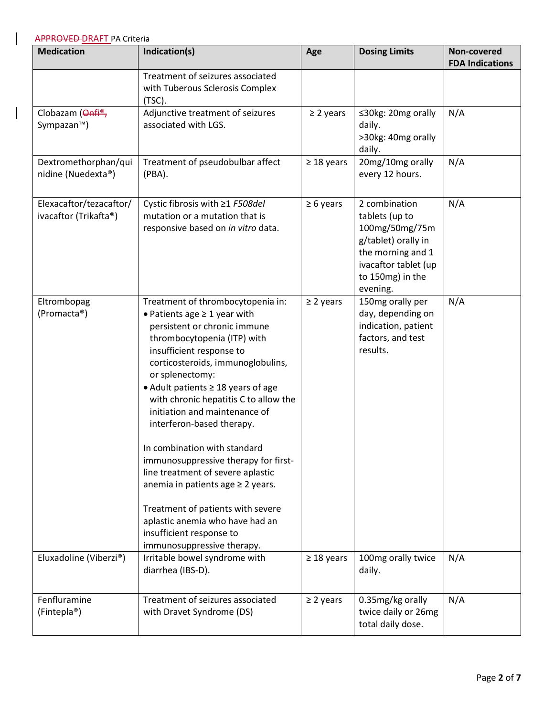| <b>Medication</b>                                | Indication(s)                                                                                                                                                                                                                                                                                                                                                                                                                                                                                                                                                                                                                                              | Age             | <b>Dosing Limits</b>                                                                                                                                  | Non-covered<br><b>FDA Indications</b> |
|--------------------------------------------------|------------------------------------------------------------------------------------------------------------------------------------------------------------------------------------------------------------------------------------------------------------------------------------------------------------------------------------------------------------------------------------------------------------------------------------------------------------------------------------------------------------------------------------------------------------------------------------------------------------------------------------------------------------|-----------------|-------------------------------------------------------------------------------------------------------------------------------------------------------|---------------------------------------|
|                                                  | Treatment of seizures associated<br>with Tuberous Sclerosis Complex<br>(TSC).                                                                                                                                                                                                                                                                                                                                                                                                                                                                                                                                                                              |                 |                                                                                                                                                       |                                       |
| Clobazam (Onfi <sup>®</sup> ,<br>Sympazan™)      | Adjunctive treatment of seizures<br>associated with LGS.                                                                                                                                                                                                                                                                                                                                                                                                                                                                                                                                                                                                   | $\geq$ 2 years  | ≤30kg: 20mg orally<br>daily.<br>>30kg: 40mg orally<br>daily.                                                                                          | N/A                                   |
| Dextromethorphan/qui<br>nidine (Nuedexta®)       | Treatment of pseudobulbar affect<br>(PBA).                                                                                                                                                                                                                                                                                                                                                                                                                                                                                                                                                                                                                 | $\geq$ 18 years | 20mg/10mg orally<br>every 12 hours.                                                                                                                   | N/A                                   |
| Elexacaftor/tezacaftor/<br>ivacaftor (Trikafta®) | Cystic fibrosis with ≥1 F508del<br>mutation or a mutation that is<br>responsive based on in vitro data.                                                                                                                                                                                                                                                                                                                                                                                                                                                                                                                                                    | $\geq 6$ years  | 2 combination<br>tablets (up to<br>100mg/50mg/75m<br>g/tablet) orally in<br>the morning and 1<br>ivacaftor tablet (up<br>to 150mg) in the<br>evening. | N/A                                   |
| Eltrombopag<br>(Promacta®)                       | Treatment of thrombocytopenia in:<br>• Patients age $\geq 1$ year with<br>persistent or chronic immune<br>thrombocytopenia (ITP) with<br>insufficient response to<br>corticosteroids, immunoglobulins,<br>or splenectomy:<br>• Adult patients ≥ 18 years of age<br>with chronic hepatitis C to allow the<br>initiation and maintenance of<br>interferon-based therapy.<br>In combination with standard<br>immunosuppressive therapy for first-<br>line treatment of severe aplastic<br>anemia in patients age ≥ 2 years.<br>Treatment of patients with severe<br>aplastic anemia who have had an<br>insufficient response to<br>immunosuppressive therapy. | $\geq$ 2 years  | 150mg orally per<br>day, depending on<br>indication, patient<br>factors, and test<br>results.                                                         | N/A                                   |
| Eluxadoline (Viberzi®)                           | Irritable bowel syndrome with<br>diarrhea (IBS-D).                                                                                                                                                                                                                                                                                                                                                                                                                                                                                                                                                                                                         | $\geq$ 18 years | 100mg orally twice<br>daily.                                                                                                                          | N/A                                   |
| Fenfluramine<br>(Fintepla®)                      | Treatment of seizures associated<br>with Dravet Syndrome (DS)                                                                                                                                                                                                                                                                                                                                                                                                                                                                                                                                                                                              | $\geq$ 2 years  | 0.35mg/kg orally<br>twice daily or 26mg<br>total daily dose.                                                                                          | N/A                                   |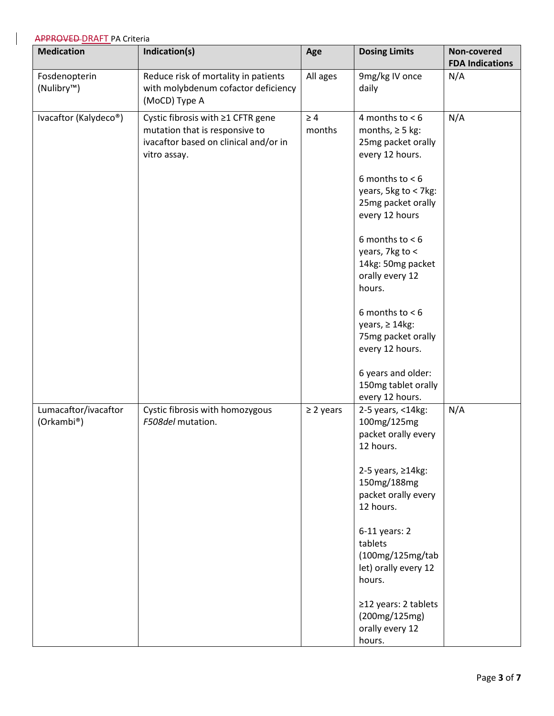| <b>Medication</b>                        | Indication(s)                                                                                                                | Age                | <b>Dosing Limits</b>                                                                                                                                                                                                                                                                                                                                                                                                    | Non-covered<br><b>FDA Indications</b> |
|------------------------------------------|------------------------------------------------------------------------------------------------------------------------------|--------------------|-------------------------------------------------------------------------------------------------------------------------------------------------------------------------------------------------------------------------------------------------------------------------------------------------------------------------------------------------------------------------------------------------------------------------|---------------------------------------|
| Fosdenopterin<br>(Nulibry <sup>™</sup> ) | Reduce risk of mortality in patients<br>with molybdenum cofactor deficiency<br>(MoCD) Type A                                 | All ages           | 9mg/kg IV once<br>daily                                                                                                                                                                                                                                                                                                                                                                                                 | N/A                                   |
| Ivacaftor (Kalydeco®)                    | Cystic fibrosis with ≥1 CFTR gene<br>mutation that is responsive to<br>ivacaftor based on clinical and/or in<br>vitro assay. | $\geq 4$<br>months | 4 months to $< 6$<br>months, $\geq$ 5 kg:<br>25mg packet orally<br>every 12 hours.<br>6 months to $< 6$<br>years, 5kg to < 7kg:<br>25mg packet orally<br>every 12 hours<br>6 months to $< 6$<br>years, 7kg to <<br>14kg: 50mg packet<br>orally every 12<br>hours.<br>6 months to $< 6$<br>years, $\geq 14$ kg:<br>75mg packet orally<br>every 12 hours.<br>6 years and older:<br>150mg tablet orally<br>every 12 hours. | N/A                                   |
| Lumacaftor/ivacaftor<br>(Orkambi®)       | Cystic fibrosis with homozygous<br>F508del mutation.                                                                         | $\geq$ 2 years     | 2-5 years, <14kg:<br>100mg/125mg<br>packet orally every<br>12 hours.<br>2-5 years, $\geq$ 14kg:<br>150mg/188mg<br>packet orally every<br>12 hours.<br>$6-11$ years: 2<br>tablets<br>(100mg/125mg/tab<br>let) orally every 12<br>hours.<br>≥12 years: 2 tablets<br>(200mg/125mg)<br>orally every 12<br>hours.                                                                                                            | N/A                                   |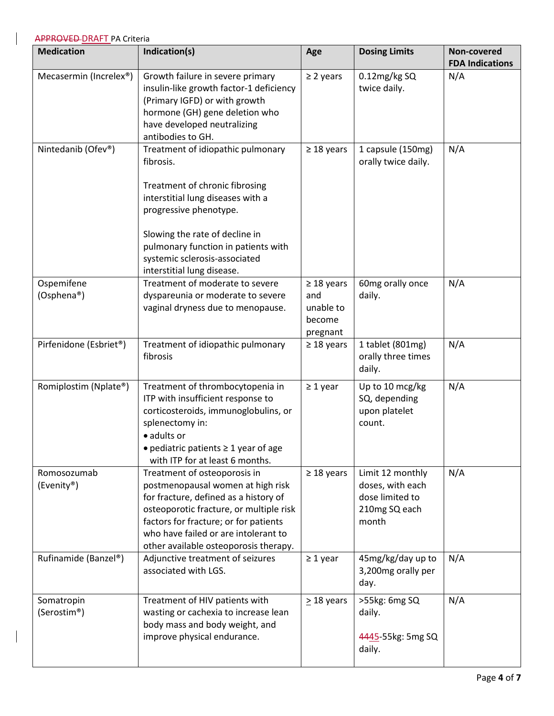| <b>Medication</b>                   | Indication(s)                                                                                                                                                                                                                                                                           | Age                                                       | <b>Dosing Limits</b>                                                              | Non-covered<br><b>FDA Indications</b> |
|-------------------------------------|-----------------------------------------------------------------------------------------------------------------------------------------------------------------------------------------------------------------------------------------------------------------------------------------|-----------------------------------------------------------|-----------------------------------------------------------------------------------|---------------------------------------|
| Mecasermin (Increlex <sup>®</sup> ) | Growth failure in severe primary<br>insulin-like growth factor-1 deficiency<br>(Primary IGFD) or with growth<br>hormone (GH) gene deletion who<br>have developed neutralizing<br>antibodies to GH.                                                                                      | $\geq$ 2 years                                            | 0.12mg/kg SQ<br>twice daily.                                                      | N/A                                   |
| Nintedanib (Ofev®)                  | Treatment of idiopathic pulmonary<br>fibrosis.<br>Treatment of chronic fibrosing<br>interstitial lung diseases with a<br>progressive phenotype.<br>Slowing the rate of decline in<br>pulmonary function in patients with<br>systemic sclerosis-associated<br>interstitial lung disease. | $\geq$ 18 years                                           | 1 capsule (150mg)<br>orally twice daily.                                          | N/A                                   |
| Ospemifene<br>(Osphena®)            | Treatment of moderate to severe<br>dyspareunia or moderate to severe<br>vaginal dryness due to menopause.                                                                                                                                                                               | $\geq$ 18 years<br>and<br>unable to<br>become<br>pregnant | 60mg orally once<br>daily.                                                        | N/A                                   |
| Pirfenidone (Esbriet®)              | Treatment of idiopathic pulmonary<br>fibrosis                                                                                                                                                                                                                                           | $\geq$ 18 years                                           | 1 tablet (801mg)<br>orally three times<br>daily.                                  | N/A                                   |
| Romiplostim (Nplate®)               | Treatment of thrombocytopenia in<br>ITP with insufficient response to<br>corticosteroids, immunoglobulins, or<br>splenectomy in:<br>· adults or<br>• pediatric patients $\geq 1$ year of age<br>with ITP for at least 6 months.                                                         | $\geq 1$ year                                             | Up to 10 mcg/kg<br>SQ, depending<br>upon platelet<br>count.                       | N/A                                   |
| Romosozumab<br>(Evenity®)           | Treatment of osteoporosis in<br>postmenopausal women at high risk<br>for fracture, defined as a history of<br>osteoporotic fracture, or multiple risk<br>factors for fracture; or for patients<br>who have failed or are intolerant to<br>other available osteoporosis therapy.         | $\geq$ 18 years                                           | Limit 12 monthly<br>doses, with each<br>dose limited to<br>210mg SQ each<br>month | N/A                                   |
| Rufinamide (Banzel®)                | Adjunctive treatment of seizures<br>associated with LGS.                                                                                                                                                                                                                                | $\geq 1$ year                                             | 45mg/kg/day up to<br>3,200mg orally per<br>day.                                   | N/A                                   |
| Somatropin<br>(Serostim®)           | Treatment of HIV patients with<br>wasting or cachexia to increase lean<br>body mass and body weight, and<br>improve physical endurance.                                                                                                                                                 | $\geq$ 18 years                                           | >55kg: 6mg SQ<br>daily.<br>4445-55kg: 5mg SQ<br>daily.                            | N/A                                   |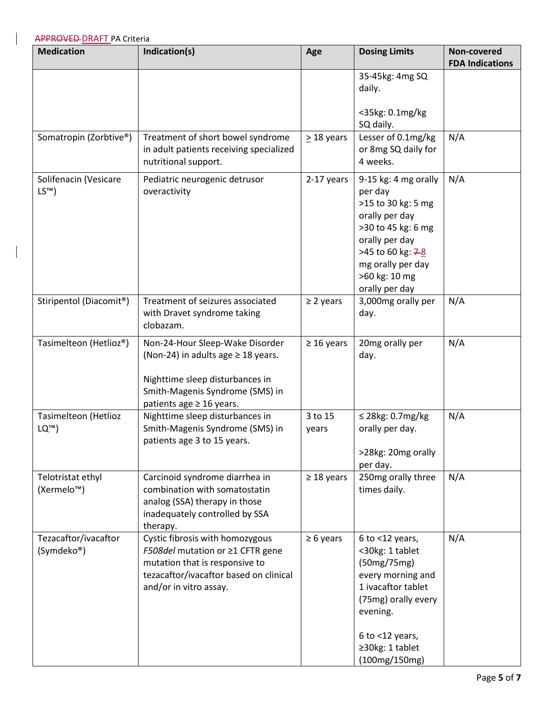| <b>Medication</b>                            | Indication(s)                                                                                                                                                                     | Age              | <b>Dosing Limits</b>                                                                                                                                                                             | Non-covered<br><b>FDA Indications</b> |
|----------------------------------------------|-----------------------------------------------------------------------------------------------------------------------------------------------------------------------------------|------------------|--------------------------------------------------------------------------------------------------------------------------------------------------------------------------------------------------|---------------------------------------|
|                                              |                                                                                                                                                                                   |                  | 35-45kg: 4mg SQ<br>daily.                                                                                                                                                                        |                                       |
|                                              |                                                                                                                                                                                   |                  | <35kg: 0.1mg/kg<br>SQ daily.                                                                                                                                                                     |                                       |
| Somatropin (Zorbtive®)                       | Treatment of short bowel syndrome<br>in adult patients receiving specialized<br>nutritional support.                                                                              | > 18 years       | Lesser of 0.1mg/kg<br>or 8mg SQ daily for<br>4 weeks.                                                                                                                                            | N/A                                   |
| Solifenacin (Vesicare<br>LS™)                | Pediatric neurogenic detrusor<br>overactivity                                                                                                                                     | 2-17 years       | 9-15 kg: 4 mg orally<br>per day<br>>15 to 30 kg: 5 mg<br>orally per day<br>>30 to 45 kg: 6 mg<br>orally per day<br>>45 to 60 kg: 7-8<br>mg orally per day<br>>60 kg: 10 mg<br>orally per day     | N/A                                   |
| Stiripentol (Diacomit <sup>®</sup> )         | Treatment of seizures associated<br>with Dravet syndrome taking<br>clobazam.                                                                                                      | $\geq$ 2 years   | 3,000mg orally per<br>day.                                                                                                                                                                       | N/A                                   |
| Tasimelteon (Hetlioz®)                       | Non-24-Hour Sleep-Wake Disorder<br>(Non-24) in adults age $\geq$ 18 years.<br>Nighttime sleep disturbances in<br>Smith-Magenis Syndrome (SMS) in<br>patients age $\geq$ 16 years. | $\geq 16$ years  | 20mg orally per<br>day.                                                                                                                                                                          | N/A                                   |
| Tasimelteon (Hetlioz<br>LQ™)                 | Nighttime sleep disturbances in<br>Smith-Magenis Syndrome (SMS) in<br>patients age 3 to 15 years.                                                                                 | 3 to 15<br>years | $\leq$ 28kg: 0.7mg/kg<br>orally per day.<br>>28kg: 20mg orally<br>per day.                                                                                                                       | N/A                                   |
| Telotristat ethyl<br>(Xermelo <sup>™</sup> ) | Carcinoid syndrome diarrhea in<br>combination with somatostatin<br>analog (SSA) therapy in those<br>inadequately controlled by SSA<br>therapy.                                    | $\geq$ 18 years  | 250mg orally three<br>times daily.                                                                                                                                                               | N/A                                   |
| Tezacaftor/ivacaftor<br>(Symdeko®)           | Cystic fibrosis with homozygous<br><i>F508del</i> mutation or ≥1 CFTR gene<br>mutation that is responsive to<br>tezacaftor/ivacaftor based on clinical<br>and/or in vitro assay.  | $\geq 6$ years   | $6$ to $<$ 12 years,<br><30kg: 1 tablet<br>(50mg/75mg)<br>every morning and<br>1 ivacaftor tablet<br>(75mg) orally every<br>evening.<br>$6$ to $<$ 12 years,<br>≥30kg: 1 tablet<br>(100mg/150mg) | N/A                                   |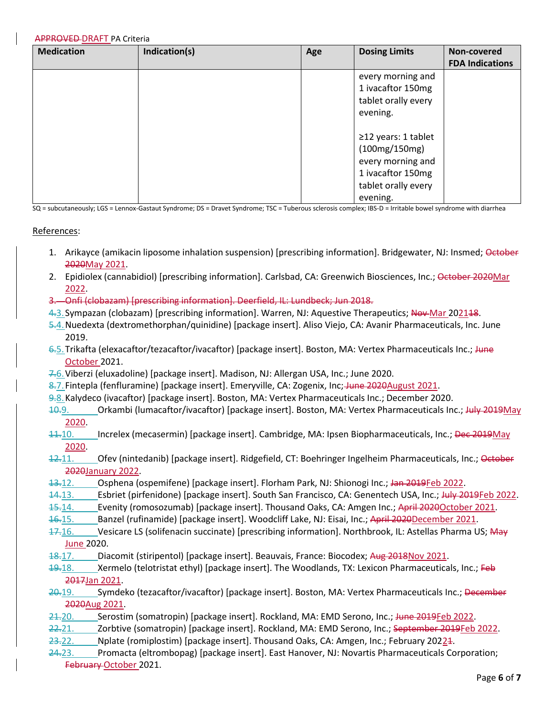| <b>Medication</b> | Indication(s) | Age | <b>Dosing Limits</b>                                                                                                    | Non-covered<br><b>FDA Indications</b> |
|-------------------|---------------|-----|-------------------------------------------------------------------------------------------------------------------------|---------------------------------------|
|                   |               |     | every morning and<br>1 ivacaftor 150mg<br>tablet orally every<br>evening.                                               |                                       |
|                   |               |     | $\geq$ 12 years: 1 tablet<br>(100mg/150mg)<br>every morning and<br>1 ivacaftor 150mg<br>tablet orally every<br>evening. |                                       |

SQ = subcutaneously; LGS = Lennox-Gastaut Syndrome; DS = Dravet Syndrome; TSC = Tuberous sclerosis complex; IBS-D = Irritable bowel syndrome with diarrhea

#### References:

- 1. Arikayce (amikacin liposome inhalation suspension) [prescribing information]. Bridgewater, NJ: Insmed; October 2020May 2021.
- 2. Epidiolex (cannabidiol) [prescribing information]. Carlsbad, CA: Greenwich Biosciences, Inc.; October 2020Mar 2022.
- 3. Onfi (clobazam) [prescribing information]. Deerfield, IL: Lundbeck; Jun 2018.
- 4.3. Sympazan (clobazam) [prescribing information]. Warren, NJ: Aquestive Therapeutics; Nov-Mar 202118.
- 5.4.Nuedexta (dextromethorphan/quinidine) [package insert]. Aliso Viejo, CA: Avanir Pharmaceuticals, Inc. June 2019.
- 6.5. Trikafta (elexacaftor/tezacaftor/ivacaftor) [package insert]. Boston, MA: Vertex Pharmaceuticals Inc.; June October 2021.
- 7.6.Viberzi (eluxadoline) [package insert]. Madison, NJ: Allergan USA, Inc.; June 2020.
- 8.7. Fintepla (fenfluramine) [package insert]. Emeryville, CA: Zogenix, Inc; June 2020August 2021.
- 9.8.Kalydeco (ivacaftor) [package insert]. Boston, MA: Vertex Pharmaceuticals Inc.; December 2020.
- 10.9. Crkambi (lumacaftor/ivacaftor) [package insert]. Boston, MA: Vertex Pharmaceuticals Inc.; July 2019May 2020.
- 11.10. Increlex (mecasermin) [package insert]. Cambridge, MA: Ipsen Biopharmaceuticals, Inc.; Dec 2019May 2020.
- 12.11. Ofev (nintedanib) [package insert]. Ridgefield, CT: Boehringer Ingelheim Pharmaceuticals, Inc.; October 2020January 2022.
- 13.12. Osphena (ospemifene) [package insert]. Florham Park, NJ: Shionogi Inc.; Jan 2019Feb 2022.
- 14.13. Esbriet (pirfenidone) [package insert]. South San Francisco, CA: Genentech USA, Inc.; July 2019Feb 2022.
- 15.14. Evenity (romosozumab) [package insert]. Thousand Oaks, CA: Amgen Inc.; April 2020October 2021.
- 16.15. Banzel (rufinamide) [package insert]. Woodcliff Lake, NJ: Eisai, Inc.; April 2020December 2021.
- 17.16. Vesicare LS (solifenacin succinate) [prescribing information]. Northbrook, IL: Astellas Pharma US; May June 2020.
- 18.17. Diacomit (stiripentol) [package insert]. Beauvais, France: Biocodex; Aug 2018Nov 2021.
- 19.18. Xermelo (telotristat ethyl) [package insert]. The Woodlands, TX: Lexicon Pharmaceuticals, Inc.; Feb 2017Jan 2021.
- 20.19. Symdeko (tezacaftor/ivacaftor) [package insert]. Boston, MA: Vertex Pharmaceuticals Inc.; December 2020Aug 2021.
- 21.20. Serostim (somatropin) [package insert]. Rockland, MA: EMD Serono, Inc.; Hune 2019Feb 2022.
- 22.21. \_\_\_\_\_ Zorbtive (somatropin) [package insert]. Rockland, MA: EMD Serono, Inc.; September 2019Feb 2022.
- 23.22. Nplate (romiplostim) [package insert]. Thousand Oaks, CA: Amgen, Inc.; February 20224.
- 24.23. Promacta (eltrombopag) [package insert]. East Hanover, NJ: Novartis Pharmaceuticals Corporation; February October 2021.